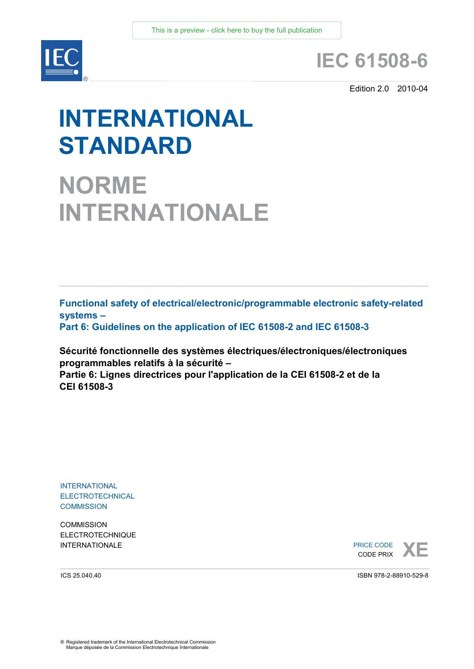

# **IEC 61508-6**

Edition 2.0 2010-04

# **INTERNATIONAL STANDARD**

**NORME INTERNATIONALE**

**Functional safety of electrical/electronic/programmable electronic safety-related systems –** 

**Part 6: Guidelines on the application of IEC 61508-2 and IEC 61508-3** 

**Sécurité fonctionnelle des systèmes électriques/électroniques/électroniques programmables relatifs à la sécurité –** 

**Partie 6: Lignes directrices pour l'application de la CEI 61508-2 et de la CEI 61508-3** 

INTERNATIONAL ELECTROTECHNICAL **COMMISSION** 

**COMMISSION** ELECTROTECHNIQUE

INTERNATIONALE **And CODE REALLY SERVICE OF A SUBSEX CODE REALLY SERVICE OF A SUBSEX OF A SUBSEX OF A SUBSEX OF A SUBSEX OF A SUBSEX OF A SUBSEX OF A SUBSEX OF A SUBSEX OF A SUBSEX OF A SUBSEX OF A SUBSEX OF A SUBSEX OF A S** PRICE CODE CODE PRIX

ICS 25.040.40

ISBN 978-2-88910-529-8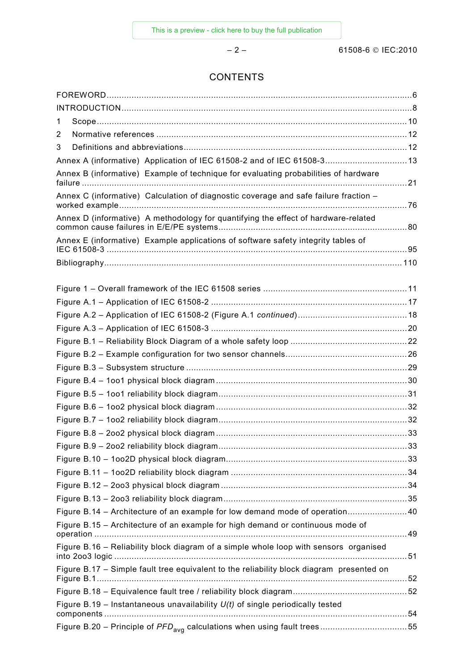# **CONTENTS**

| 1                                                                                        |  |
|------------------------------------------------------------------------------------------|--|
| 2                                                                                        |  |
| 3                                                                                        |  |
| Annex A (informative) Application of IEC 61508-2 and of IEC 61508-3 13                   |  |
| Annex B (informative) Example of technique for evaluating probabilities of hardware      |  |
| Annex C (informative) Calculation of diagnostic coverage and safe failure fraction -     |  |
| Annex D (informative) A methodology for quantifying the effect of hardware-related       |  |
| Annex E (informative) Example applications of software safety integrity tables of        |  |
|                                                                                          |  |
|                                                                                          |  |
|                                                                                          |  |
|                                                                                          |  |
|                                                                                          |  |
|                                                                                          |  |
|                                                                                          |  |
|                                                                                          |  |
|                                                                                          |  |
|                                                                                          |  |
|                                                                                          |  |
|                                                                                          |  |
|                                                                                          |  |
|                                                                                          |  |
|                                                                                          |  |
|                                                                                          |  |
|                                                                                          |  |
|                                                                                          |  |
| Figure B.14 - Architecture of an example for low demand mode of operation40              |  |
| Figure B.15 - Architecture of an example for high demand or continuous mode of           |  |
| Figure B.16 - Reliability block diagram of a simple whole loop with sensors organised    |  |
| Figure B.17 – Simple fault tree equivalent to the reliability block diagram presented on |  |
|                                                                                          |  |
| Figure B.19 – Instantaneous unavailability $U(t)$ of single periodically tested          |  |
| Figure B.20 - Principle of PFD <sub>avg</sub> calculations when using fault trees55      |  |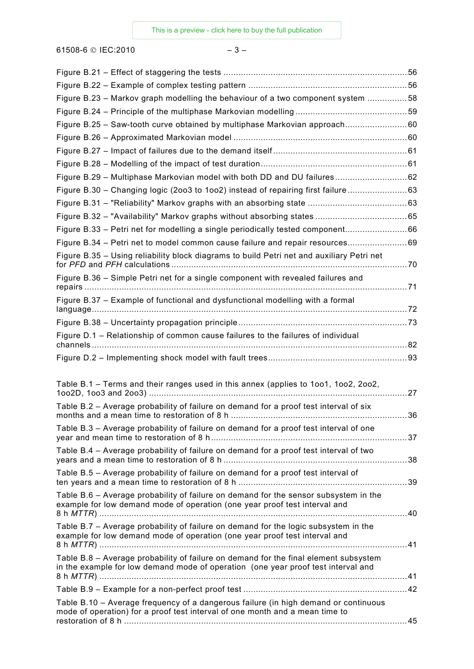61508-6 © IEC:2010 – 3 –

| Figure B.23 - Markov graph modelling the behaviour of a two component system 58                                                                                           |    |
|---------------------------------------------------------------------------------------------------------------------------------------------------------------------------|----|
|                                                                                                                                                                           |    |
| Figure B.25 - Saw-tooth curve obtained by multiphase Markovian approach60                                                                                                 |    |
|                                                                                                                                                                           |    |
|                                                                                                                                                                           |    |
|                                                                                                                                                                           |    |
| Figure B.29 - Multiphase Markovian model with both DD and DU failures 62                                                                                                  |    |
| Figure B.30 - Changing logic (2003 to 1002) instead of repairing first failure63                                                                                          |    |
|                                                                                                                                                                           |    |
|                                                                                                                                                                           |    |
| Figure B.33 – Petri net for modelling a single periodically tested component66                                                                                            |    |
| Figure B.34 - Petri net to model common cause failure and repair resources 69                                                                                             |    |
| Figure B.35 - Using reliability block diagrams to build Petri net and auxiliary Petri net                                                                                 |    |
| Figure B.36 - Simple Petri net for a single component with revealed failures and                                                                                          |    |
| Figure B.37 - Example of functional and dysfunctional modelling with a formal                                                                                             |    |
|                                                                                                                                                                           |    |
| Figure D.1 - Relationship of common cause failures to the failures of individual                                                                                          |    |
|                                                                                                                                                                           |    |
| Table B.1 - Terms and their ranges used in this annex (applies to 1001, 1002, 2002,                                                                                       |    |
| Table B.2 - Average probability of failure on demand for a proof test interval of six                                                                                     | 36 |
| Table B.3 - Average probability of failure on demand for a proof test interval of one                                                                                     |    |
| Table B.4 - Average probability of failure on demand for a proof test interval of two                                                                                     |    |
| Table B.5 – Average probability of failure on demand for a proof test interval of                                                                                         |    |
| Table B.6 - Average probability of failure on demand for the sensor subsystem in the<br>example for low demand mode of operation (one year proof test interval and        |    |
| Table B.7 - Average probability of failure on demand for the logic subsystem in the<br>example for low demand mode of operation (one year proof test interval and         |    |
| Table B.8 - Average probability of failure on demand for the final element subsystem<br>in the example for low demand mode of operation (one year proof test interval and |    |
|                                                                                                                                                                           |    |
| Table B.10 - Average frequency of a dangerous failure (in high demand or continuous<br>mode of operation) for a proof test interval of one month and a mean time to       |    |
|                                                                                                                                                                           |    |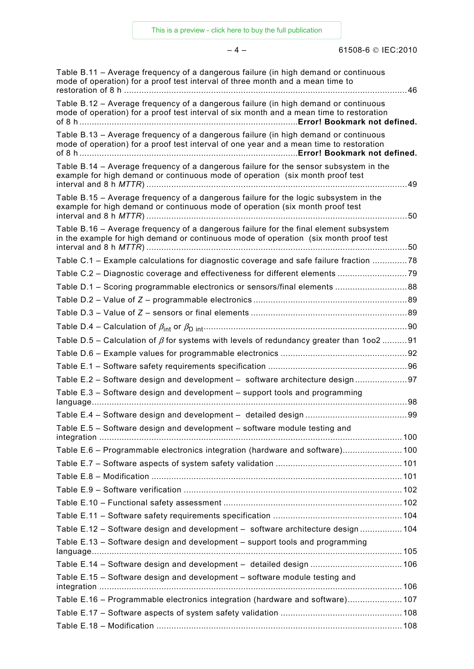– 4 – 61508-6 © IEC:2010

| Table B.11 - Average frequency of a dangerous failure (in high demand or continuous<br>mode of operation) for a proof test interval of three month and a mean time to           |  |
|---------------------------------------------------------------------------------------------------------------------------------------------------------------------------------|--|
| Table B.12 - Average frequency of a dangerous failure (in high demand or continuous<br>mode of operation) for a proof test interval of six month and a mean time to restoration |  |
| Table B.13 - Average frequency of a dangerous failure (in high demand or continuous<br>mode of operation) for a proof test interval of one year and a mean time to restoration  |  |
| Table B.14 - Average frequency of a dangerous failure for the sensor subsystem in the<br>example for high demand or continuous mode of operation (six month proof test          |  |
| Table B.15 – Average frequency of a dangerous failure for the logic subsystem in the<br>example for high demand or continuous mode of operation (six month proof test           |  |
| Table B.16 - Average frequency of a dangerous failure for the final element subsystem<br>in the example for high demand or continuous mode of operation (six month proof test   |  |
| Table C.1 - Example calculations for diagnostic coverage and safe failure fraction 78                                                                                           |  |
| Table C.2 - Diagnostic coverage and effectiveness for different elements 79                                                                                                     |  |
| Table D.1 - Scoring programmable electronics or sensors/final elements 88                                                                                                       |  |
|                                                                                                                                                                                 |  |
|                                                                                                                                                                                 |  |
|                                                                                                                                                                                 |  |
| Table D.5 – Calculation of $\beta$ for systems with levels of redundancy greater than 1002 91                                                                                   |  |
|                                                                                                                                                                                 |  |
|                                                                                                                                                                                 |  |
| Table E.2 - Software design and development - software architecture design97                                                                                                    |  |
| Table E.3 - Software design and development - support tools and programming                                                                                                     |  |
|                                                                                                                                                                                 |  |
| Table E.5 - Software design and development - software module testing and                                                                                                       |  |
| Table E.6 - Programmable electronics integration (hardware and software) 100                                                                                                    |  |
|                                                                                                                                                                                 |  |
|                                                                                                                                                                                 |  |
|                                                                                                                                                                                 |  |
|                                                                                                                                                                                 |  |
|                                                                                                                                                                                 |  |
| Table E.12 - Software design and development - software architecture design  104                                                                                                |  |
| Table E.13 – Software design and development – support tools and programming                                                                                                    |  |
|                                                                                                                                                                                 |  |
| Table E.15 - Software design and development - software module testing and                                                                                                      |  |
| Table E.16 - Programmable electronics integration (hardware and software) 107                                                                                                   |  |
|                                                                                                                                                                                 |  |
|                                                                                                                                                                                 |  |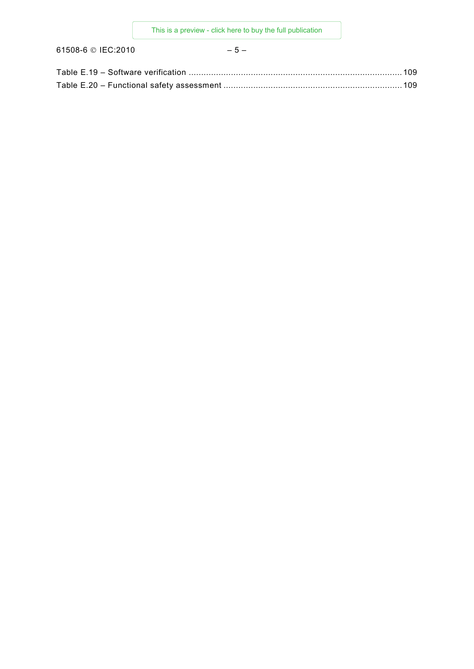61508-6 © IEC:2010 – 5 –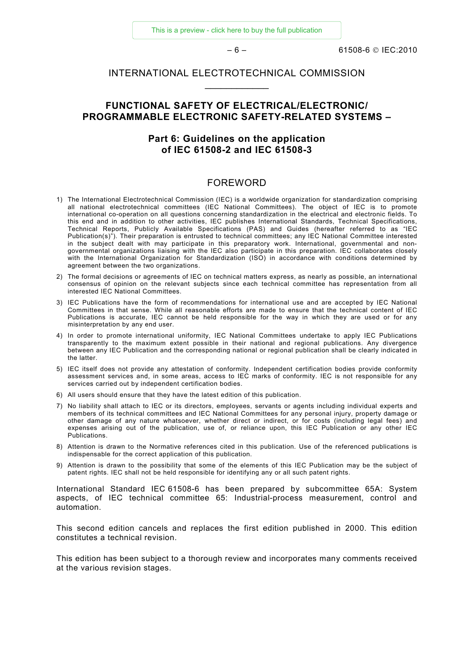# <span id="page-5-0"></span>INTERNATIONAL ELECTROTECHNICAL COMMISSION  $\frac{1}{2}$  ,  $\frac{1}{2}$  ,  $\frac{1}{2}$  ,  $\frac{1}{2}$  ,  $\frac{1}{2}$  ,  $\frac{1}{2}$

# **FUNCTIONAL SAFETY OF ELECTRICAL/ELECTRONIC/ PROGRAMMABLE ELECTRONIC SAFETY-RELATED SYSTEMS –**

# **Part 6: Guidelines on the application of IEC 61508-2 and IEC 61508-3**

## FOREWORD

- 1) The International Electrotechnical Commission (IEC) is a worldwide organization for standardization comprising all national electrotechnical committees (IEC National Committees). The object of IEC is to promote international co-operation on all questions concerning standardization in the electrical and electronic fields. To this end and in addition to other activities, IEC publishes International Standards, Technical Specifications, Technical Reports, Publicly Available Specifications (PAS) and Guides (hereafter referred to as "IEC Publication(s)"). Their preparation is entrusted to technical committees; any IEC National Committee interested in the subject dealt with may participate in this preparatory work. International, governmental and nongovernmental organizations liaising with the IEC also participate in this preparation. IEC collaborates closely with the International Organization for Standardization (ISO) in accordance with conditions determined by agreement between the two organizations.
- 2) The formal decisions or agreements of IEC on technical matters express, as nearly as possible, an international consensus of opinion on the relevant subjects since each technical committee has representation from all interested IEC National Committees.
- 3) IEC Publications have the form of recommendations for international use and are accepted by IEC National Committees in that sense. While all reasonable efforts are made to ensure that the technical content of IEC Publications is accurate, IEC cannot be held responsible for the way in which they are used or for any misinterpretation by any end user.
- 4) In order to promote international uniformity, IEC National Committees undertake to apply IEC Publications transparently to the maximum extent possible in their national and regional publications. Any divergence between any IEC Publication and the corresponding national or regional publication shall be clearly indicated in the latter.
- 5) IEC itself does not provide any attestation of conformity. Independent certification bodies provide conformity assessment services and, in some areas, access to IEC marks of conformity. IEC is not responsible for any services carried out by independent certification bodies.
- 6) All users should ensure that they have the latest edition of this publication.
- 7) No liability shall attach to IEC or its directors, employees, servants or agents including individual experts and members of its technical committees and IEC National Committees for any personal injury, property damage or other damage of any nature whatsoever, whether direct or indirect, or for costs (including legal fees) and expenses arising out of the publication, use of, or reliance upon, this IEC Publication or any other IEC Publications.
- 8) Attention is drawn to the Normative references cited in this publication. Use of the referenced publications is indispensable for the correct application of this publication.
- 9) Attention is drawn to the possibility that some of the elements of this IEC Publication may be the subject of patent rights. IEC shall not be held responsible for identifying any or all such patent rights.

International Standard IEC 61508-6 has been prepared by subcommittee 65A: System aspects, of IEC technical committee 65: Industrial-process measurement, control and automation.

This second edition cancels and replaces the first edition published in 2000. This edition constitutes a technical revision.

This edition has been subject to a thorough review and incorporates many comments received at the various revision stages.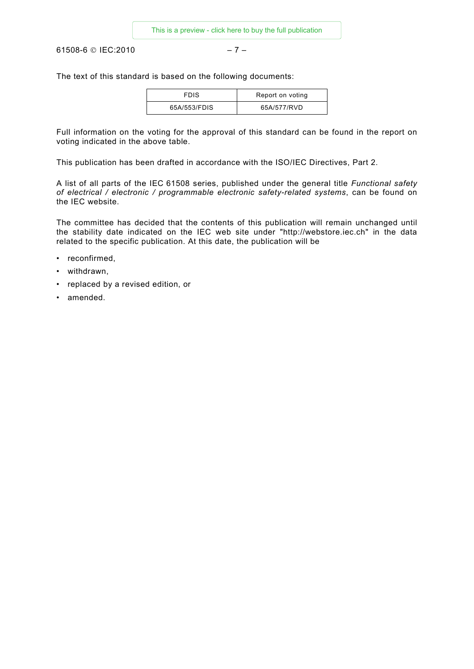61508-6 © IEC:2010  $-7-$ 

The text of this standard is based on the following documents:

| <b>FDIS</b>  | Report on voting |
|--------------|------------------|
| 65A/553/FDIS | 65A/577/RVD      |

Full information on the voting for the approval of this standard can be found in the report on voting indicated in the above table.

This publication has been drafted in accordance with the ISO/IEC Directives, Part 2.

A list of all parts of the IEC 61508 series, published under the general title *Functional safety of electrical / electronic / programmable electronic safety-related systems*, can be found on the IEC website.

The committee has decided that the contents of this publication will remain unchanged until the stability date indicated on the IEC web site under "http://webstore.iec.ch" in the data related to the specific publication. At this date, the publication will be

- reconfirmed,
- withdrawn,
- replaced by a revised edition, or
- amended.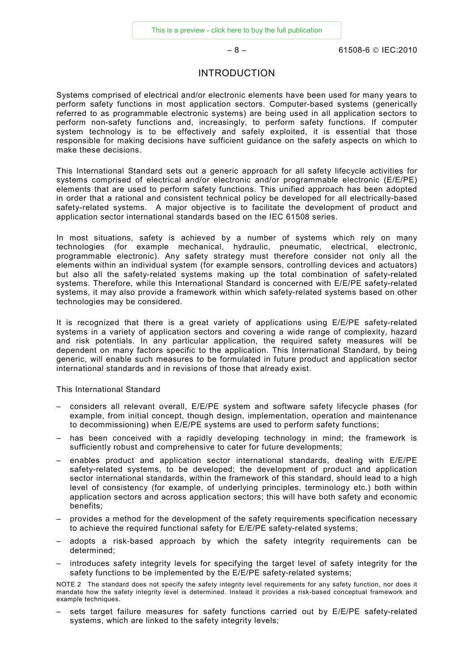$-8 - 8 - 61508 - 60$  IFC:2010

# INTRODUCTION

<span id="page-7-0"></span>Systems comprised of electrical and/or electronic elements have been used for many years to perform safety functions in most application sectors. Computer-based systems (generically referred to as programmable electronic systems) are being used in all application sectors to perform non-safety functions and, increasingly, to perform safety functions. If computer system technology is to be effectively and safely exploited, it is essential that those responsible for making decisions have sufficient guidance on the safety aspects on which to make these decisions.

This International Standard sets out a generic approach for all safety lifecycle activities for systems comprised of electrical and/or electronic and/or programmable electronic (E/E/PE) elements that are used to perform safety functions. This unified approach has been adopted in order that a rational and consistent technical policy be developed for all electrically-based safety-related systems. A major objective is to facilitate the development of product and application sector international standards based on the IEC 61508 series.

In most situations, safety is achieved by a number of systems which rely on many technologies (for example mechanical, hydraulic, pneumatic, electrical, electronic, programmable electronic). Any safety strategy must therefore consider not only all the elements within an individual system (for example sensors, controlling devices and actuators) but also all the safety-related systems making up the total combination of safety-related systems. Therefore, while this International Standard is concerned with E/E/PE safety-related systems, it may also provide a framework within which safety-related systems based on other technologies may be considered.

It is recognized that there is a great variety of applications using E/E/PE safety-related systems in a variety of application sectors and covering a wide range of complexity, hazard and risk potentials. In any particular application, the required safety measures will be dependent on many factors specific to the application. This International Standard, by being generic, will enable such measures to be formulated in future product and application sector international standards and in revisions of those that already exist.

This International Standard

- considers all relevant overall, E/E/PE system and software safety lifecycle phases (for example, from initial concept, though design, implementation, operation and maintenance to decommissioning) when E/E/PE systems are used to perform safety functions;
- has been conceived with a rapidly developing technology in mind; the framework is sufficiently robust and comprehensive to cater for future developments;
- enables product and application sector international standards, dealing with E/E/PE safety-related systems, to be developed; the development of product and application sector international standards, within the framework of this standard, should lead to a high level of consistency (for example, of underlying principles, terminology etc.) both within application sectors and across application sectors; this will have both safety and economic benefits;
- provides a method for the development of the safety requirements specification necessary to achieve the required functional safety for E/E/PE safety-related systems;
- adopts a risk-based approach by which the safety integrity requirements can be determined;
- introduces safety integrity levels for specifying the target level of safety integrity for the safety functions to be implemented by the E/E/PE safety-related systems;

NOTE 2 The standard does not specify the safety integrity level requirements for any safety function, nor does it mandate how the safety integrity level is determined. Instead it provides a risk-based conceptual framework and example techniques.

sets target failure measures for safety functions carried out by E/E/PE safety-related systems, which are linked to the safety integrity levels;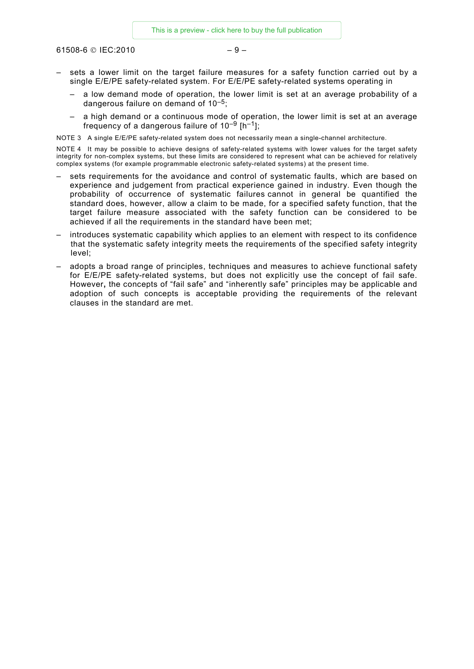61508-6 © IEC:2010 – 9 –

- sets a lower limit on the target failure measures for a safety function carried out by a single E/E/PE safety-related system. For E/E/PE safety-related systems operating in
	- a low demand mode of operation, the lower limit is set at an average probability of a dangerous failure on demand of  $10^{-5}$ .
	- a high demand or a continuous mode of operation, the lower limit is set at an average frequency of a dangerous failure of  $10^{-9}$  [h<sup>-1</sup>];

NOTE 3 A single E/E/PE safety-related system does not necessarily mean a single-channel architecture.

NOTE 4 It may be possible to achieve designs of safety-related systems with lower values for the target safety integrity for non-complex systems, but these limits are considered to represent what can be achieved for relatively complex systems (for example programmable electronic safety-related systems) at the present time.

- sets requirements for the avoidance and control of systematic faults, which are based on experience and judgement from practical experience gained in industry. Even though the probability of occurrence of systematic failures cannot in general be quantified the standard does, however, allow a claim to be made, for a specified safety function, that the target failure measure associated with the safety function can be considered to be achieved if all the requirements in the standard have been met;
- introduces systematic capability which applies to an element with respect to its confidence that the systematic safety integrity meets the requirements of the specified safety integrity level;
- adopts a broad range of principles, techniques and measures to achieve functional safety for E/E/PE safety-related systems, but does not explicitly use the concept of fail safe. However**,** the concepts of "fail safe" and "inherently safe" principles may be applicable and adoption of such concepts is acceptable providing the requirements of the relevant clauses in the standard are met.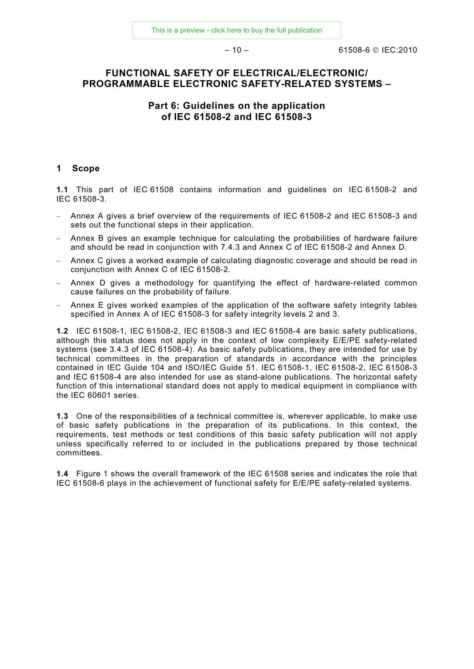# <span id="page-9-0"></span>**FUNCTIONAL SAFETY OF ELECTRICAL/ELECTRONIC/ PROGRAMMABLE ELECTRONIC SAFETY-RELATED SYSTEMS –**

# **Part 6: Guidelines on the application of IEC 61508-2 and IEC 61508-3**

### **1 Scope**

**1.1** This part of IEC 61508 contains information and guidelines on IEC 61508-2 and IEC 61508-3.

- Annex A gives a brief overview of the requirements of IEC 61508-2 and IEC 61508-3 and sets out the functional steps in their application.
- Annex B gives an example technique for calculating the probabilities of hardware failure and should be read in conjunction with 7.4.3 and Annex C of IEC 61508-2 and Annex D.
- Annex C gives a worked example of calculating diagnostic coverage and should be read in conjunction with Annex C of IEC 61508-2.
- Annex D gives a methodology for quantifying the effect of hardware-related common cause failures on the probability of failure.
- Annex E gives worked examples of the application of the software safety integrity tables specified in Annex A of IEC 61508-3 for safety integrity levels 2 and 3.

**1.2** IEC 61508-1, IEC 61508-2, IEC 61508-3 and IEC 61508-4 are basic safety publications, although this status does not apply in the context of low complexity E/E/PE safety-related systems (see 3.4.3 of IEC 61508-4). As basic safety publications, they are intended for use by technical committees in the preparation of standards in accordance with the principles contained in IEC Guide 104 and ISO/IEC Guide 51. IEC 61508-1, IEC 61508-2, IEC 61508-3 and IEC 61508-4 are also intended for use as stand-alone publications. The horizontal safety function of this international standard does not apply to medical equipment in compliance with the IEC 60601 series.

**1.3** One of the responsibilities of a technical committee is, wherever applicable, to make use of basic safety publications in the preparation of its publications. In this context, the requirements, test methods or test conditions of this basic safety publication will not apply unless specifically referred to or included in the publications prepared by those technical committees.

**1.4** Figure 1 shows the overall framework of the IEC 61508 series and indicates the role that IEC 61508-6 plays in the achievement of functional safety for E/E/PE safety-related systems.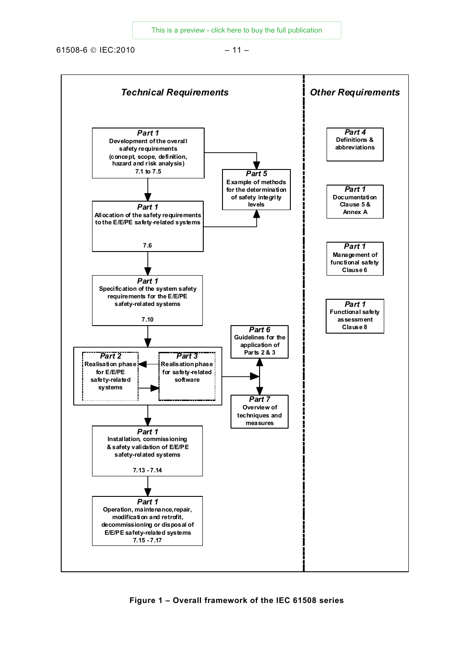61508-6 © IEC:2010 – 11 –

<span id="page-10-0"></span>

**Figure 1 – Overall framework of the IEC 61508 series**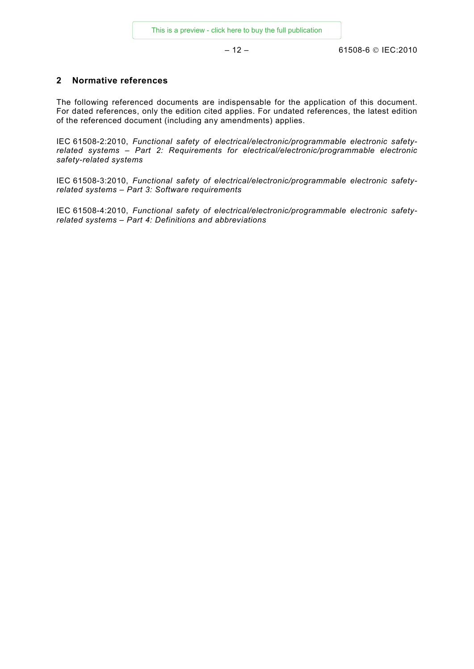## <span id="page-11-0"></span>**2 Normative references**

The following referenced documents are indispensable for the application of this document. For dated references, only the edition cited applies. For undated references, the latest edition of the referenced document (including any amendments) applies.

IEC 61508-2:2010, *Functional safety of electrical/electronic/programmable electronic safetyrelated systems – Part 2: Requirements for electrical/electronic/programmable electronic safety-related systems*

IEC 61508-3:2010, *Functional safety of electrical/electronic/programmable electronic safetyrelated systems – Part 3: Software requirements*

IEC 61508-4:2010, *Functional safety of electrical/electronic/programmable electronic safetyrelated systems – Part 4: Definitions and abbreviations*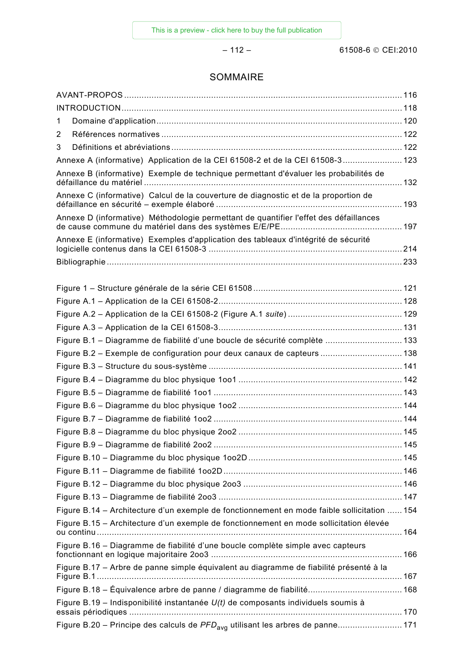# SOMMAIRE

| 1                                                                                           |  |
|---------------------------------------------------------------------------------------------|--|
| 2                                                                                           |  |
| 3                                                                                           |  |
| Annexe A (informative) Application de la CEI 61508-2 et de la CEI 61508-3 123               |  |
| Annexe B (informative) Exemple de technique permettant d'évaluer les probabilités de        |  |
| Annexe C (informative) Calcul de la couverture de diagnostic et de la proportion de         |  |
| Annexe D (informative) Méthodologie permettant de quantifier l'effet des défaillances       |  |
| Annexe E (informative) Exemples d'application des tableaux d'intégrité de sécurité          |  |
|                                                                                             |  |
|                                                                                             |  |
|                                                                                             |  |
|                                                                                             |  |
|                                                                                             |  |
| Figure B.1 - Diagramme de fiabilité d'une boucle de sécurité complète  133                  |  |
| Figure B.2 - Exemple de configuration pour deux canaux de capteurs  138                     |  |
|                                                                                             |  |
|                                                                                             |  |
|                                                                                             |  |
|                                                                                             |  |
|                                                                                             |  |
|                                                                                             |  |
|                                                                                             |  |
|                                                                                             |  |
|                                                                                             |  |
|                                                                                             |  |
|                                                                                             |  |
| Figure B.14 - Architecture d'un exemple de fonctionnement en mode faible sollicitation  154 |  |
| Figure B.15 - Architecture d'un exemple de fonctionnement en mode sollicitation élevée      |  |
| Figure B.16 - Diagramme de fiabilité d'une boucle complète simple avec capteurs             |  |
| Figure B.17 – Arbre de panne simple équivalent au diagramme de fiabilité présenté à la      |  |
|                                                                                             |  |
| Figure B.19 – Indisponibilité instantanée $U(t)$ de composants individuels soumis à         |  |
| Figure B.20 - Principe des calculs de PFD <sub>avq</sub> utilisant les arbres de panne 171  |  |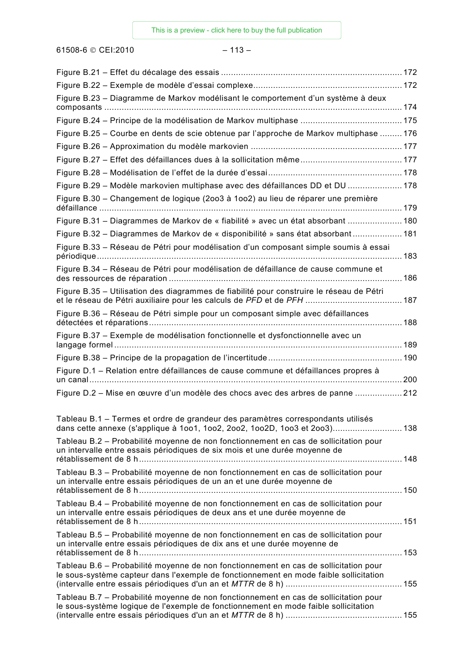61508-6 © CEI:2010 – 113 –

| Figure B.23 - Diagramme de Markov modélisant le comportement d'un système à deux                                                                                              |  |
|-------------------------------------------------------------------------------------------------------------------------------------------------------------------------------|--|
|                                                                                                                                                                               |  |
| Figure B.25 - Courbe en dents de scie obtenue par l'approche de Markov multiphase  176                                                                                        |  |
|                                                                                                                                                                               |  |
|                                                                                                                                                                               |  |
|                                                                                                                                                                               |  |
| Figure B.29 - Modèle markovien multiphase avec des défaillances DD et DU  178                                                                                                 |  |
| Figure B.30 – Changement de logique (2003 à 1002) au lieu de réparer une première                                                                                             |  |
| Figure B.31 – Diagrammes de Markov de « fiabilité » avec un état absorbant  180                                                                                               |  |
| Figure B.32 – Diagrammes de Markov de « disponibilité » sans état absorbant  181                                                                                              |  |
| Figure B.33 - Réseau de Pétri pour modélisation d'un composant simple soumis à essai                                                                                          |  |
| Figure B.34 - Réseau de Pétri pour modélisation de défaillance de cause commune et                                                                                            |  |
| Figure B.35 - Utilisation des diagrammes de fiabilité pour construire le réseau de Pétri                                                                                      |  |
| Figure B.36 - Réseau de Pétri simple pour un composant simple avec défaillances                                                                                               |  |
| Figure B.37 - Exemple de modélisation fonctionnelle et dysfonctionnelle avec un                                                                                               |  |
|                                                                                                                                                                               |  |
| Figure D.1 - Relation entre défaillances de cause commune et défaillances propres à                                                                                           |  |
| Figure D.2 - Mise en œuvre d'un modèle des chocs avec des arbres de panne 212                                                                                                 |  |
| Tableau B.1 - Termes et ordre de grandeur des paramètres correspondants utilisés<br>dans cette annexe (s'applique à 1001, 1002, 2002, 1002D, 1003 et 2003) 138                |  |
| Tableau B.2 - Probabilité moyenne de non fonctionnement en cas de sollicitation pour<br>un intervalle entre essais périodiques de six mois et une durée moyenne de            |  |
| Tableau B.3 - Probabilité moyenne de non fonctionnement en cas de sollicitation pour<br>un intervalle entre essais périodiques de un an et une durée moyenne de               |  |
| Tableau B.4 – Probabilité moyenne de non fonctionnement en cas de sollicitation pour<br>un intervalle entre essais périodiques de deux ans et une durée moyenne de            |  |
| Tableau B.5 - Probabilité moyenne de non fonctionnement en cas de sollicitation pour<br>un intervalle entre essais périodiques de dix ans et une durée moyenne de             |  |
| Tableau B.6 - Probabilité moyenne de non fonctionnement en cas de sollicitation pour<br>le sous-système capteur dans l'exemple de fonctionnement en mode faible sollicitation |  |
| Tableau B.7 - Probabilité moyenne de non fonctionnement en cas de sollicitation pour<br>le sous-système logique de l'exemple de fonctionnement en mode faible sollicitation   |  |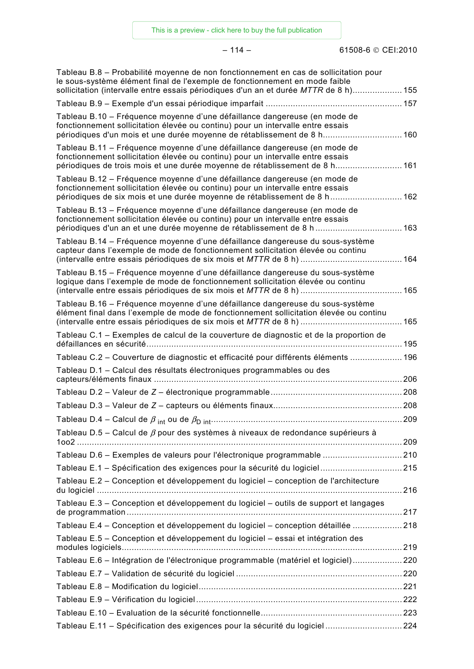– 114 – 61508-6 © CEI:2010

| Tableau B.8 – Probabilité moyenne de non fonctionnement en cas de sollicitation pour<br>le sous-système élément final de l'exemple de fonctionnement en mode faible<br>sollicitation (intervalle entre essais périodiques d'un an et durée MTTR de 8 h) 155 |  |
|-------------------------------------------------------------------------------------------------------------------------------------------------------------------------------------------------------------------------------------------------------------|--|
|                                                                                                                                                                                                                                                             |  |
| Tableau B.10 – Fréquence moyenne d'une défaillance dangereuse (en mode de<br>fonctionnement sollicitation élevée ou continu) pour un intervalle entre essais<br>périodiques d'un mois et une durée moyenne de rétablissement de 8 h160                      |  |
| Tableau B.11 – Fréquence moyenne d'une défaillance dangereuse (en mode de<br>fonctionnement sollicitation élevée ou continu) pour un intervalle entre essais<br>périodiques de trois mois et une durée moyenne de rétablissement de 8 h 161                 |  |
| Tableau B.12 – Fréquence moyenne d'une défaillance dangereuse (en mode de<br>fonctionnement sollicitation élevée ou continu) pour un intervalle entre essais<br>périodiques de six mois et une durée moyenne de rétablissement de 8 h 162                   |  |
| Tableau B.13 - Fréquence moyenne d'une défaillance dangereuse (en mode de<br>fonctionnement sollicitation élevée ou continu) pour un intervalle entre essais<br>périodiques d'un an et une durée moyenne de rétablissement de 8 h  163                      |  |
| Tableau B.14 - Fréquence moyenne d'une défaillance dangereuse du sous-système<br>capteur dans l'exemple de mode de fonctionnement sollicitation élevée ou continu                                                                                           |  |
| Tableau B.15 – Fréquence moyenne d'une défaillance dangereuse du sous-système<br>logique dans l'exemple de mode de fonctionnement sollicitation élevée ou continu                                                                                           |  |
| Tableau B.16 - Fréquence moyenne d'une défaillance dangereuse du sous-système<br>élément final dans l'exemple de mode de fonctionnement sollicitation élevée ou continu                                                                                     |  |
| Tableau C.1 – Exemples de calcul de la couverture de diagnostic et de la proportion de                                                                                                                                                                      |  |
| Tableau C.2 – Couverture de diagnostic et efficacité pour différents éléments  196                                                                                                                                                                          |  |
|                                                                                                                                                                                                                                                             |  |
| Tableau D.1 - Calcul des résultats électroniques programmables ou des                                                                                                                                                                                       |  |
|                                                                                                                                                                                                                                                             |  |
|                                                                                                                                                                                                                                                             |  |
|                                                                                                                                                                                                                                                             |  |
| Tableau D.5 – Calcul de $\beta$ pour des systèmes à niveaux de redondance supérieurs à                                                                                                                                                                      |  |
| Tableau D.6 - Exemples de valeurs pour l'électronique programmable  210                                                                                                                                                                                     |  |
|                                                                                                                                                                                                                                                             |  |
| Tableau E.2 - Conception et développement du logiciel - conception de l'architecture                                                                                                                                                                        |  |
| Tableau E.3 - Conception et développement du logiciel - outils de support et langages                                                                                                                                                                       |  |
| Tableau E.4 - Conception et développement du logiciel - conception détaillée 218                                                                                                                                                                            |  |
| Tableau E.5 - Conception et développement du logiciel - essai et intégration des                                                                                                                                                                            |  |
| Tableau E.6 - Intégration de l'électronique programmable (matériel et logiciel)220                                                                                                                                                                          |  |
|                                                                                                                                                                                                                                                             |  |
|                                                                                                                                                                                                                                                             |  |
|                                                                                                                                                                                                                                                             |  |
|                                                                                                                                                                                                                                                             |  |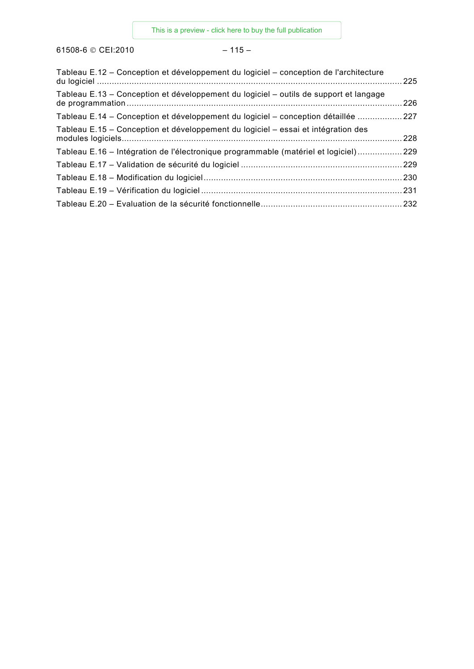61508-6 © CEI:2010 – 115 –

| Tableau E.12 – Conception et développement du logiciel – conception de l'architecture | 225  |
|---------------------------------------------------------------------------------------|------|
| Tableau E.13 – Conception et développement du logiciel – outils de support et langage | 226  |
| Tableau E.14 - Conception et développement du logiciel - conception détaillée 227     |      |
| Tableau E.15 – Conception et développement du logiciel – essai et intégration des     | 228  |
| Tableau E.16 – Intégration de l'électronique programmable (matériel et logiciel)229   |      |
|                                                                                       | .229 |
|                                                                                       | .230 |
|                                                                                       | 231  |
|                                                                                       |      |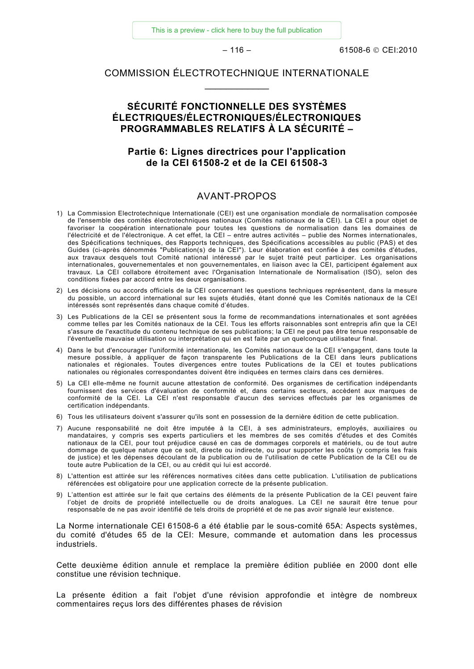[This is a preview - click here to buy the full publication](https://webstore.iec.ch/publication/5520&preview=1)

– 116 – 61508-6 © CEI:2010

# <span id="page-16-0"></span>COMMISSION ÉLECTROTECHNIQUE INTERNATIONALE  $\frac{1}{2}$

# **SÉCURITÉ FONCTIONNELLE DES SYSTÈMES ÉLECTRIQUES/ÉLECTRONIQUES/ÉLECTRONIQUES PROGRAMMABLES RELATIFS À LA SÉCURITÉ –**

# **Partie 6: Lignes directrices pour l'application de la CEI 61508-2 et de la CEI 61508-3**

### AVANT-PROPOS

- 1) La Commission Electrotechnique Internationale (CEI) est une organisation mondiale de normalisation composée de l'ensemble des comités électrotechniques nationaux (Comités nationaux de la CEI). La CEI a pour objet de favoriser la coopération internationale pour toutes les questions de normalisation dans les domaines de l'électricité et de l'électronique. A cet effet, la CEI – entre autres activités – publie des Normes internationales, des Spécifications techniques, des Rapports techniques, des Spécifications accessibles au public (PAS) et des Guides (ci-après dénommés "Publication(s) de la CEI"). Leur élaboration est confiée à des comités d'études, aux travaux desquels tout Comité national intéressé par le sujet traité peut participer. Les organisations internationales, gouvernementales et non gouvernementales, en liaison avec la CEI, participent également aux travaux. La CEI collabore étroitement avec l'Organisation Internationale de Normalisation (ISO), selon des conditions fixées par accord entre les deux organisations.
- 2) Les décisions ou accords officiels de la CEI concernant les questions techniques représentent, dans la mesure du possible, un accord international sur les sujets étudiés, étant donné que les Comités nationaux de la CEI intéressés sont représentés dans chaque comité d'études.
- 3) Les Publications de la CEI se présentent sous la forme de recommandations internationales et sont agréées comme telles par les Comités nationaux de la CEI. Tous les efforts raisonnables sont entrepris afin que la CEI s'assure de l'exactitude du contenu technique de ses publications; la CEI ne peut pas être tenue responsable de l'éventuelle mauvaise utilisation ou interprétation qui en est faite par un quelconque utilisateur final.
- 4) Dans le but d'encourager l'uniformité internationale, les Comités nationaux de la CEI s'engagent, dans toute la mesure possible, à appliquer de façon transparente les Publications de la CEI dans leurs publications nationales et régionales. Toutes divergences entre toutes Publications de la CEI et toutes publications nationales ou régionales correspondantes doivent être indiquées en termes clairs dans ces dernières.
- 5) La CEI elle-même ne fournit aucune attestation de conformité. Des organismes de certification indépendants fournissent des services d'évaluation de conformité et, dans certains secteurs, accèdent aux marques de conformité de la CEI. La CEI n'est responsable d'aucun des services effectués par les organismes de certification indépendants.
- 6) Tous les utilisateurs doivent s'assurer qu'ils sont en possession de la dernière édition de cette publication.
- 7) Aucune responsabilité ne doit être imputée à la CEI, à ses administrateurs, employés, auxiliaires ou mandataires, y compris ses experts particuliers et les membres de ses comités d'études et des Comités nationaux de la CEI, pour tout préjudice causé en cas de dommages corporels et matériels, ou de tout autre dommage de quelque nature que ce soit, directe ou indirecte, ou pour supporter les coûts (y compris les frais de justice) et les dépenses découlant de la publication ou de l'utilisation de cette Publication de la CEI ou de toute autre Publication de la CEI, ou au crédit qui lui est accordé.
- 8) L'attention est attirée sur les références normatives citées dans cette publication. L'utilisation de publications référencées est obligatoire pour une application correcte de la présente publication.
- 9) L'attention est attirée sur le fait que certains des éléments de la présente Publication de la CEI peuvent faire l'objet de droits de propriété intellectuelle ou de droits analogues. La CEI ne saurait être tenue pour responsable de ne pas avoir identifié de tels droits de propriété et de ne pas avoir signalé leur existence.

La Norme internationale CEI 61508-6 a été établie par le sous-comité 65A: Aspects systèmes, du comité d'études 65 de la CEI: Mesure, commande et automation dans les processus industriels.

Cette deuxième édition annule et remplace la première édition publiée en 2000 dont elle constitue une révision technique.

La présente édition a fait l'objet d'une révision approfondie et intègre de nombreux commentaires reçus lors des différentes phases de révision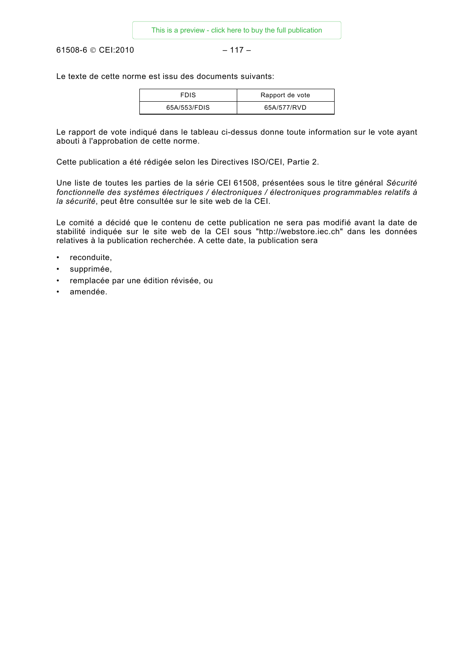61508-6 © CEI:2010 - 117 -

Le texte de cette norme est issu des documents suivants:

| <b>FDIS</b>  | Rapport de vote |
|--------------|-----------------|
| 65A/553/FDIS | 65A/577/RVD     |

Le rapport de vote indiqué dans le tableau ci-dessus donne toute information sur le vote ayant abouti à l'approbation de cette norme.

Cette publication a été rédigée selon les Directives ISO/CEI, Partie 2.

Une liste de toutes les parties de la série CEI 61508, présentées sous le titre général *Sécurité fonctionnelle des systèmes électriques / électroniques / électroniques programmables relatifs à la sécurité*, peut être consultée sur le site web de la CEI.

Le comité a décidé que le contenu de cette publication ne sera pas modifié avant la date de stabilité indiquée sur le site web de la CEI sous "http://webstore.iec.ch" dans les données relatives à la publication recherchée. A cette date, la publication sera

- reconduite,
- supprimée,
- remplacée par une édition révisée, ou
- amendée.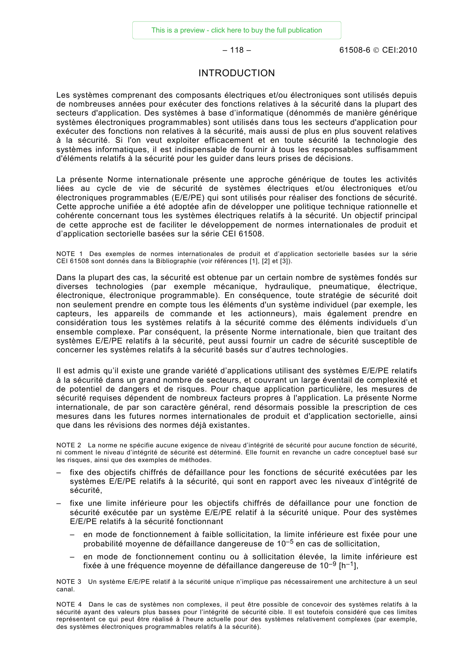– 118 – 61508-6 © CEI:2010

# INTRODUCTION

<span id="page-18-0"></span>Les systèmes comprenant des composants électriques et/ou électroniques sont utilisés depuis de nombreuses années pour exécuter des fonctions relatives à la sécurité dans la plupart des secteurs d'application. Des systèmes à base d'informatique (dénommés de manière générique systèmes électroniques programmables) sont utilisés dans tous les secteurs d'application pour exécuter des fonctions non relatives à la sécurité, mais aussi de plus en plus souvent relatives à la sécurité. Si l'on veut exploiter efficacement et en toute sécurité la technologie des systèmes informatiques, il est indispensable de fournir à tous les responsables suffisamment d'éléments relatifs à la sécurité pour les guider dans leurs prises de décisions.

La présente Norme internationale présente une approche générique de toutes les activités liées au cycle de vie de sécurité de systèmes électriques et/ou électroniques et/ou électroniques programmables (E/E/PE) qui sont utilisés pour réaliser des fonctions de sécurité. Cette approche unifiée a été adoptée afin de développer une politique technique rationnelle et cohérente concernant tous les systèmes électriques relatifs à la sécurité. Un objectif principal de cette approche est de faciliter le développement de normes internationales de produit et d'application sectorielle basées sur la série CEI 61508.

NOTE 1 Des exemples de normes internationales de produit et d'application sectorielle basées sur la série CEI 61508 sont donnés dans la Bibliographie (voir références [1], [2] et [3]).

Dans la plupart des cas, la sécurité est obtenue par un certain nombre de systèmes fondés sur diverses technologies (par exemple mécanique, hydraulique, pneumatique, électrique, électronique, électronique programmable). En conséquence, toute stratégie de sécurité doit non seulement prendre en compte tous les éléments d'un système individuel (par exemple, les capteurs, les appareils de commande et les actionneurs), mais également prendre en considération tous les systèmes relatifs à la sécurité comme des éléments individuels d'un ensemble complexe. Par conséquent, la présente Norme internationale, bien que traitant des systèmes E/E/PE relatifs à la sécurité, peut aussi fournir un cadre de sécurité susceptible de concerner les systèmes relatifs à la sécurité basés sur d'autres technologies.

Il est admis qu'il existe une grande variété d'applications utilisant des systèmes E/E/PE relatifs à la sécurité dans un grand nombre de secteurs, et couvrant un large éventail de complexité et de potentiel de dangers et de risques. Pour chaque application particulière, les mesures de sécurité requises dépendent de nombreux facteurs propres à l'application. La présente Norme internationale, de par son caractère général, rend désormais possible la prescription de ces mesures dans les futures normes internationales de produit et d'application sectorielle, ainsi que dans les révisions des normes déjà existantes.

NOTE 2 La norme ne spécifie aucune exigence de niveau d'intégrité de sécurité pour aucune fonction de sécurité, ni comment le niveau d'intégrité de sécurité est déterminé. Elle fournit en revanche un cadre conceptuel basé sur les risques, ainsi que des exemples de méthodes.

- fixe des objectifs chiffrés de défaillance pour les fonctions de sécurité exécutées par les systèmes E/E/PE relatifs à la sécurité, qui sont en rapport avec les niveaux d'intégrité de sécurité,
- fixe une limite inférieure pour les objectifs chiffrés de défaillance pour une fonction de sécurité exécutée par un système E/E/PE relatif à la sécurité unique. Pour des systèmes E/E/PE relatifs à la sécurité fonctionnant
	- en mode de fonctionnement à faible sollicitation, la limite inférieure est fixée pour une probabilité moyenne de défaillance dangereuse de 10–5 en cas de sollicitation,
	- en mode de fonctionnement continu ou à sollicitation élevée, la limite inférieure est fixée à une fréquence movenne de défaillance dangereuse de  $10^{-9}$  [h<sup>-1</sup>].

NOTE 3 Un système E/E/PE relatif à la sécurité unique n'implique pas nécessairement une architecture à un seul canal.

NOTE 4 Dans le cas de systèmes non complexes, il peut être possible de concevoir des systèmes relatifs à la sécurité ayant des valeurs plus basses pour l'intégrité de sécurité cible. Il est toutefois considéré que ces limites représentent ce qui peut être réalisé à l'heure actuelle pour des systèmes relativement complexes (par exemple, des systèmes électroniques programmables relatifs à la sécurité).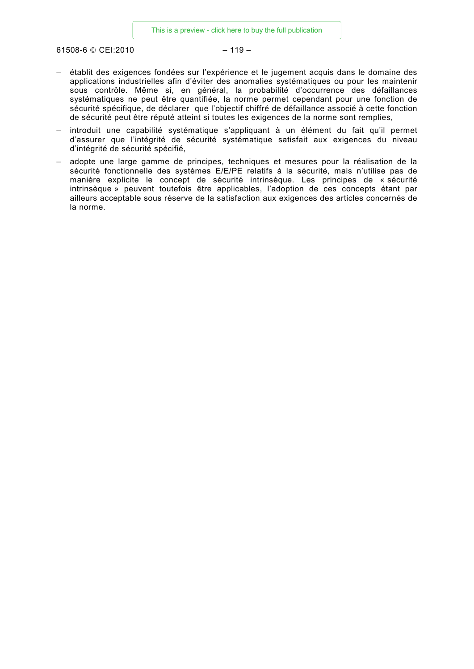61508-6 © CEI:2010 - 119 -

- établit des exigences fondées sur l'expérience et le jugement acquis dans le domaine des applications industrielles afin d'éviter des anomalies systématiques ou pour les maintenir sous contrôle. Même si, en général, la probabilité d'occurrence des défaillances systématiques ne peut être quantifiée, la norme permet cependant pour une fonction de sécurité spécifique, de déclarer que l'objectif chiffré de défaillance associé à cette fonction de sécurité peut être réputé atteint si toutes les exigences de la norme sont remplies,
- introduit une capabilité systématique s'appliquant à un élément du fait qu'il permet d'assurer que l'intégrité de sécurité systématique satisfait aux exigences du niveau d'intégrité de sécurité spécifié,
- adopte une large gamme de principes, techniques et mesures pour la réalisation de la sécurité fonctionnelle des systèmes E/E/PE relatifs à la sécurité, mais n'utilise pas de manière explicite le concept de sécurité intrinsèque. Les principes de « sécurité intrinsèque » peuvent toutefois être applicables, l'adoption de ces concepts étant par ailleurs acceptable sous réserve de la satisfaction aux exigences des articles concernés de la norme.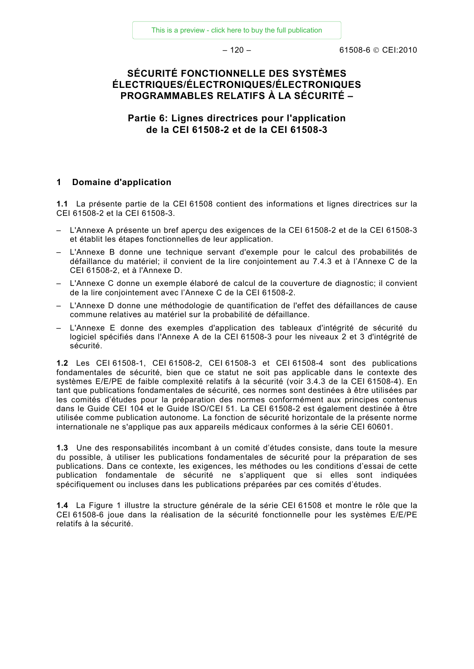– 120 – 61508-6 © CEI:2010

# <span id="page-20-0"></span>**SÉCURITÉ FONCTIONNELLE DES SYSTÈMES ÉLECTRIQUES/ÉLECTRONIQUES/ÉLECTRONIQUES PROGRAMMABLES RELATIFS À LA SÉCURITÉ –**

# **Partie 6: Lignes directrices pour l'application de la CEI 61508-2 et de la CEI 61508-3**

# **1 Domaine d'application**

**1.1** La présente partie de la CEI 61508 contient des informations et lignes directrices sur la CEI 61508-2 et la CEI 61508-3.

- L'Annexe A présente un bref aperçu des exigences de la CEI 61508-2 et de la CEI 61508-3 et établit les étapes fonctionnelles de leur application.
- L'Annexe B donne une technique servant d'exemple pour le calcul des probabilités de défaillance du matériel; il convient de la lire conjointement au 7.4.3 et à l'Annexe C de la CEI 61508-2, et à l'Annexe D.
- L'Annexe C donne un exemple élaboré de calcul de la couverture de diagnostic; il convient de la lire conjointement avec l'Annexe C de la CEI 61508-2.
- L'Annexe D donne une méthodologie de quantification de l'effet des défaillances de cause commune relatives au matériel sur la probabilité de défaillance.
- L'Annexe E donne des exemples d'application des tableaux d'intégrité de sécurité du logiciel spécifiés dans l'Annexe A de la CEI 61508-3 pour les niveaux 2 et 3 d'intégrité de sécurité.

**1.2** Les CEI 61508-1, CEI 61508-2, CEI 61508-3 et CEI 61508-4 sont des publications fondamentales de sécurité, bien que ce statut ne soit pas applicable dans le contexte des systèmes E/E/PE de faible complexité relatifs à la sécurité (voir 3.4.3 de la CEI 61508-4). En tant que publications fondamentales de sécurité, ces normes sont destinées à être utilisées par les comités d'études pour la préparation des normes conformément aux principes contenus dans le Guide CEI 104 et le Guide ISO/CEI 51. La CEI 61508-2 est également destinée à être utilisée comme publication autonome. La fonction de sécurité horizontale de la présente norme internationale ne s'applique pas aux appareils médicaux conformes à la série CEI 60601.

**1.3** Une des responsabilités incombant à un comité d'études consiste, dans toute la mesure du possible, à utiliser les publications fondamentales de sécurité pour la préparation de ses publications. Dans ce contexte, les exigences, les méthodes ou les conditions d'essai de cette publication fondamentale de sécurité ne s'appliquent que si elles sont indiquées spécifiquement ou incluses dans les publications préparées par ces comités d'études.

**1.4** La Figure 1 illustre la structure générale de la série CEI 61508 et montre le rôle que la CEI 61508-6 joue dans la réalisation de la sécurité fonctionnelle pour les systèmes E/E/PE relatifs à la sécurité.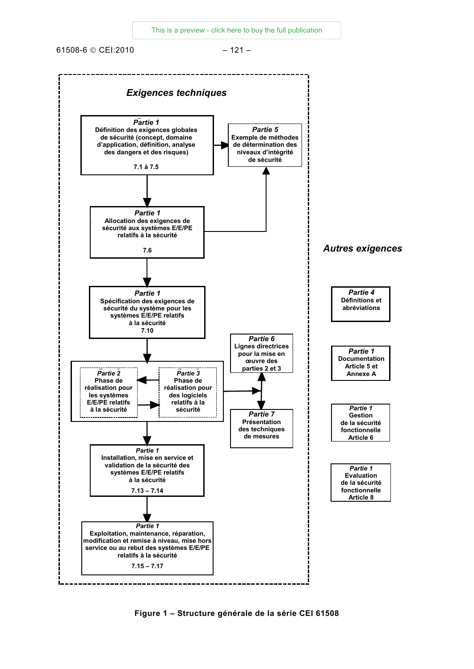61508-6 © CEI:2010 – 121 –

<span id="page-21-0"></span>

**Figure 1 – Structure générale de la série CEI 61508**